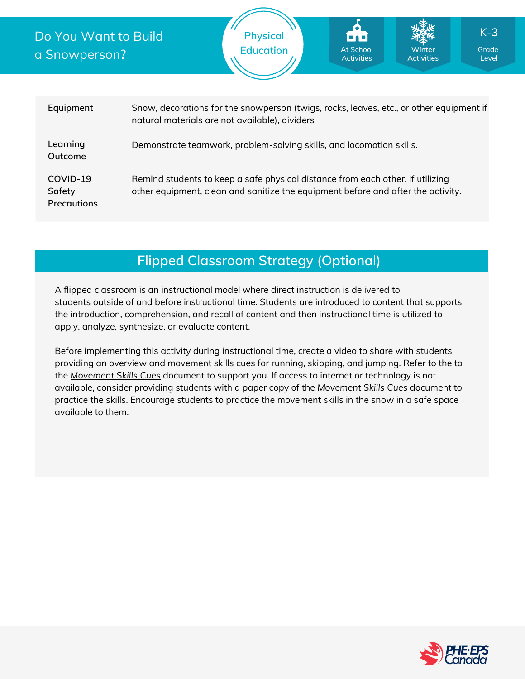## Do You Want to Build a Snowperson?

At School Activities

| Equipment                                | Snow, decorations for the snowperson (twigs, rocks, leaves, etc., or other equipment if<br>natural materials are not available), dividers                          |
|------------------------------------------|--------------------------------------------------------------------------------------------------------------------------------------------------------------------|
| Learning<br>Outcome                      | Demonstrate teamwork, problem-solving skills, and locomotion skills.                                                                                               |
| COVID-19<br>Safety<br><b>Precautions</b> | Remind students to keep a safe physical distance from each other. If utilizing<br>other equipment, clean and sanitize the equipment before and after the activity. |

# **Flipped Classroom Strategy (Optional)**

A flipped classroom is an instructional model where direct instruction is delivered to students outside of and before instructional time. Students are introduced to content that supports the introduction, comprehension, and recall of content and then instructional time is utilized to apply, analyze, synthesize, or evaluate content.

Before implementing this activity during instructional time, create a video to share with students providing an overview and movement skills cues for running, skipping, and jumping. Refer to the to the *[Movement](https://phecanada.ca/sites/default/files/content/docs/Home%20Learning%20Resource/Movement%20Cues/Movement%20Skills%20Cues%201.pdf) Skills Cues* document to support you. If access to internet or technology is not available, consider providing students with a paper copy of the *[Movement](https://phecanada.ca/sites/default/files/content/docs/Home%20Learning%20Resource/Movement%20Cues/Movement%20Skills%20Cues%201.pdf) Skills Cues* document to practice the skills. Encourage students to practice the movement skills in the snow in a safe space available to them.

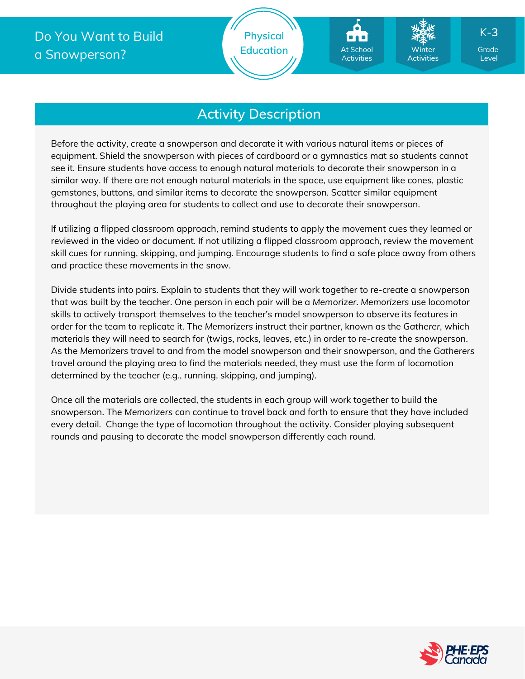## **Activity Description**

Before the activity, create a snowperson and decorate it with various natural items or pieces of equipment. Shield the snowperson with pieces of cardboard or a gymnastics mat so students cannot see it. Ensure students have access to enough natural materials to decorate their snowperson in a similar way. If there are not enough natural materials in the space, use equipment like cones, plastic gemstones, buttons, and similar items to decorate the snowperson. Scatter similar equipment throughout the playing area for students to collect and use to decorate their snowperson.

If utilizing a flipped classroom approach, remind students to apply the movement cues they learned or reviewed in the video or document. If not utilizing a flipped classroom approach, review the movement skill cues for running, skipping, and jumping. Encourage students to find a safe place away from others and practice these movements in the snow.

Divide students into pairs. Explain to students that they will work together to re-create a snowperson that was built by the teacher. One person in each pair will be a *Memorizer*. *Memorizers* use locomotor skills to actively transport themselves to the teacher's model snowperson to observe its features in order for the team to replicate it. The *Memorizers* instruct their partner, known as the *Gatherer,* which materials they will need to search for (twigs, rocks, leaves, etc.) in order to re-create the snowperson. As the *Memorizers* travel to and from the model snowperson and their snowperson, and the *Gatherers* travel around the playing area to find the materials needed, they must use the form of locomotion determined by the teacher (e.g., running, skipping, and jumping).

Once all the materials are collected, the students in each group will work together to build the snowperson. The *Memorizers* can continue to travel back and forth to ensure that they have included every detail. Change the type of locomotion throughout the activity. Consider playing subsequent rounds and pausing to decorate the model snowperson differently each round.



Level

K-**3**

**Winter Activities**

At School Activities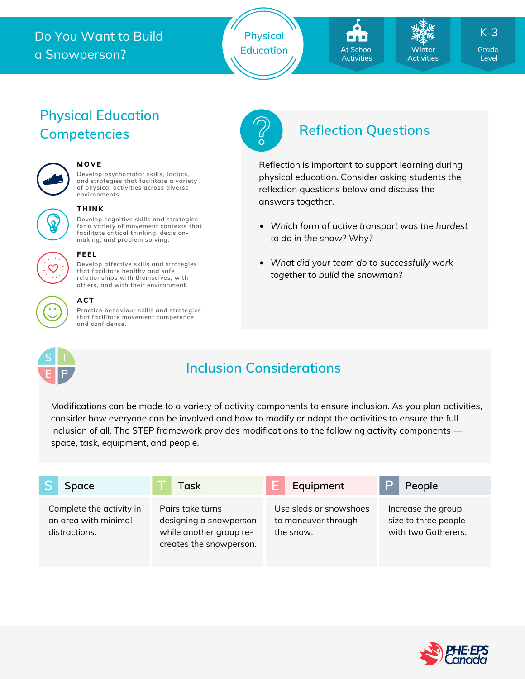## Do You Want to Build a Snowperson?





**Winter Activities** K-**3**

Level

# **Physical Education Competencies Reflection Questions**



#### **MOVE**

**Develop psychomotor skills, tactics, and strategies that facilitate a variety of physical activities across diverse environments.**



#### **THINK**

**Develop cognitive skills and strategies for a variety of movement contexts that facilitate critical thinking, decision making, and problem solving.**



### **FEEL**

**Develop affective skills and strategies that facilitate healthy and safe relationships with themselves, with others, and with their environment.**

#### **ACT**

**Practice behaviour skills and strategies that facilitate movement competence and confidence.**



# **Inclusion Considerations**

Modifications can be made to a variety of activity components to ensure inclusion. As you plan activities, consider how everyone can be involved and how to modify or adapt the activities to ensure the full inclusion of all. The STEP framework provides modifications to the following activity components space, task, equipment, and people.

| Space                                                             | Task                                                                                             | Equipment                                                  | People                                                            |
|-------------------------------------------------------------------|--------------------------------------------------------------------------------------------------|------------------------------------------------------------|-------------------------------------------------------------------|
| Complete the activity in<br>an area with minimal<br>distractions. | Pairs take turns<br>designing a snowperson<br>while another group re-<br>creates the snowperson. | Use sleds or snowshoes<br>to maneuver through<br>the snow. | Increase the group<br>size to three people<br>with two Gatherers. |





Reflection is important to support learning during physical education. Consider asking students the reflection questions below and discuss the answers together.

- *Which form of active transport was the hardest to do in the snow? Why?*
- *What did your team do to successfully work together to build the snowman?*